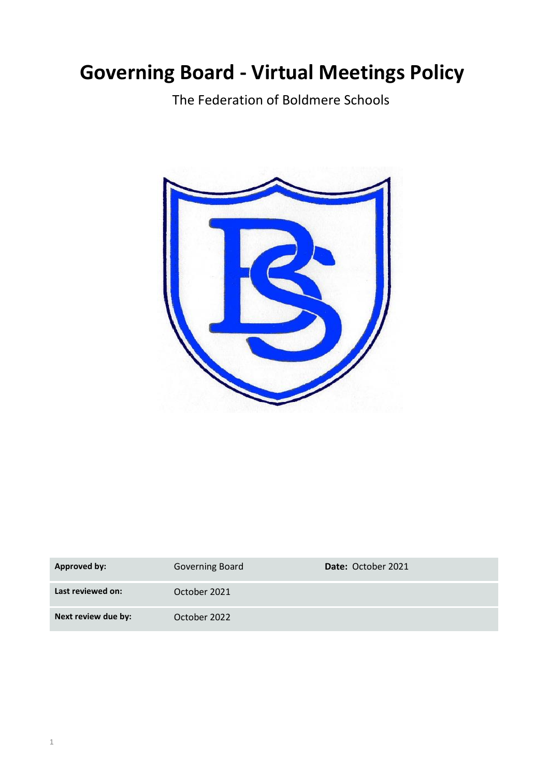# **Governing Board - Virtual Meetings Policy**

The Federation of Boldmere Schools



| <b>Approved by:</b> | Governing Board | <b>Date: October 2021</b> |
|---------------------|-----------------|---------------------------|
| Last reviewed on:   | October 2021    |                           |
| Next review due by: | October 2022    |                           |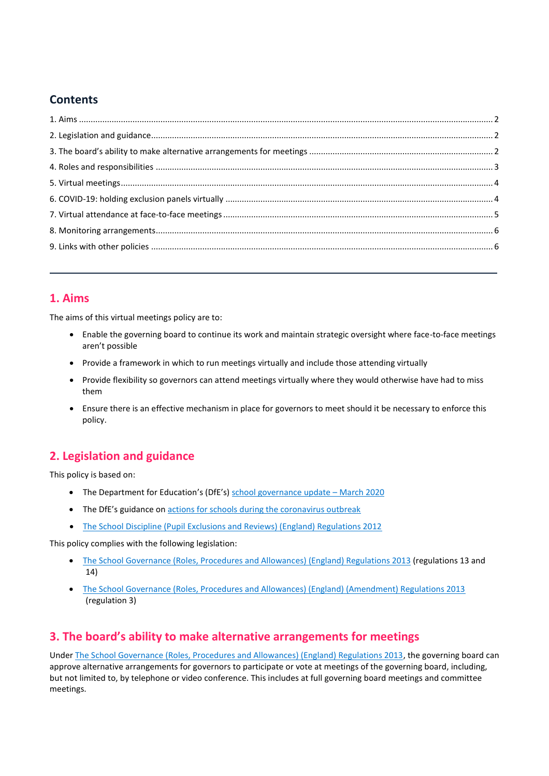# **Contents**

## <span id="page-1-0"></span>**1. Aims**

The aims of this virtual meetings policy are to:

- Enable the governing board to continue its work and maintain strategic oversight where face-to-face meetings aren't possible
- Provide a framework in which to run meetings virtually and include those attending virtually
- Provide flexibility so governors can attend meetings virtually where they would otherwise have had to miss them
- Ensure there is an effective mechanism in place for governors to meet should it be necessary to enforce this policy.

# <span id="page-1-1"></span>**2. Legislation and guidance**

This policy is based on:

- The Department for Education's (DfE's) [school governance update](https://www.gov.uk/government/publications/school-governance-update)  March 2020
- The DfE's guidance on actions for schools [during the coronavirus outbreak](https://www.gov.uk/government/publications/covid-19-school-closures/guidance-for-schools-about-temporarily-closing)
- [The School Discipline \(Pupil Exclusions and Reviews\) \(England\) Regulations 2012](http://www.legislation.gov.uk/uksi/2012/1033/contents/made)

This policy complies with the following legislation:

- [The School Governance \(Roles, Procedures and Allowances\) \(England\) Regulations 2013](http://www.legislation.gov.uk/uksi/2013/1624/part/4/made) (regulations 13 and 14)
- [The School Governance \(Roles, Procedures and Allowances\) \(England\) \(Amendment\) Regulations 2013](http://www.legislation.gov.uk/uksi/2013/2688/regulation/3/made) (regulation 3)

# <span id="page-1-2"></span>**3. The board's ability to make alternative arrangements for meetings**

Unde[r The School Governance \(Roles, Procedures and Allowances\) \(England\) Regulations 2013,](http://www.legislation.gov.uk/uksi/2013/1624/part/4/made) the governing board can approve alternative arrangements for governors to participate or vote at meetings of the governing board, including, but not limited to, by telephone or video conference. This includes at full governing board meetings and committee meetings.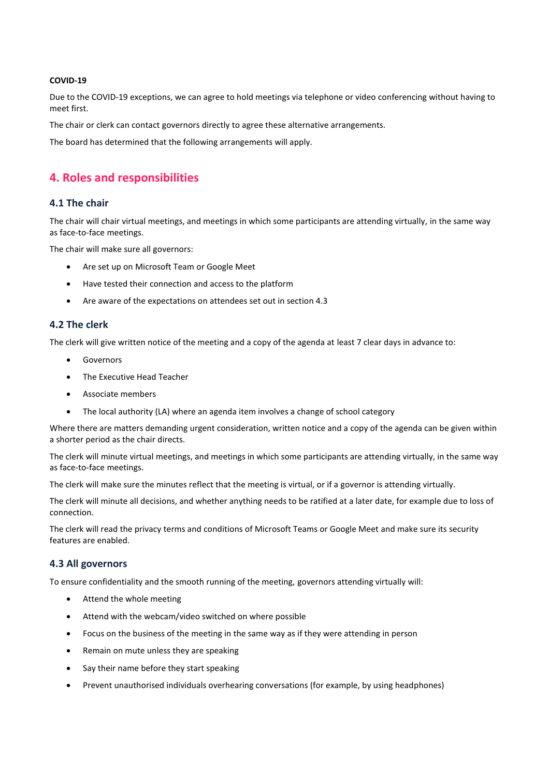#### **COVID-19**

Due to the COVID-19 exceptions, we can agree to hold meetings via telephone or video conferencing without having to meet first.

The chair or clerk can contact governors directly to agree these alternative arrangements.

The board has determined that the following arrangements will apply.

## <span id="page-2-0"></span>**4. Roles and responsibilities**

#### **4.1 The chair**

The chair will chair virtual meetings, and meetings in which some participants are attending virtually, in the same way as face-to-face meetings.

The chair will make sure all governors:

- Are set up on Microsoft Team or Google Meet
- Have tested their connection and access to the platform
- Are aware of the expectations on attendees set out in section 4.3

#### **4.2 The clerk**

The clerk will give written notice of the meeting and a copy of the agenda at least 7 clear days in advance to:

- **•** Governors
- The Executive Head Teacher
- Associate members
- The local authority (LA) where an agenda item involves a change of school category

Where there are matters demanding urgent consideration, written notice and a copy of the agenda can be given within a shorter period as the chair directs.

The clerk will minute virtual meetings, and meetings in which some participants are attending virtually, in the same way as face-to-face meetings.

The clerk will make sure the minutes reflect that the meeting is virtual, or if a governor is attending virtually.

The clerk will minute all decisions, and whether anything needs to be ratified at a later date, for example due to loss of connection.

The clerk will read the privacy terms and conditions of Microsoft Teams or Google Meet and make sure its security features are enabled.

#### **4.3 All governors**

To ensure confidentiality and the smooth running of the meeting, governors attending virtually will:

- Attend the whole meeting
- Attend with the webcam/video switched on where possible
- Focus on the business of the meeting in the same way as if they were attending in person
- Remain on mute unless they are speaking
- Say their name before they start speaking
- Prevent unauthorised individuals overhearing conversations (for example, by using headphones)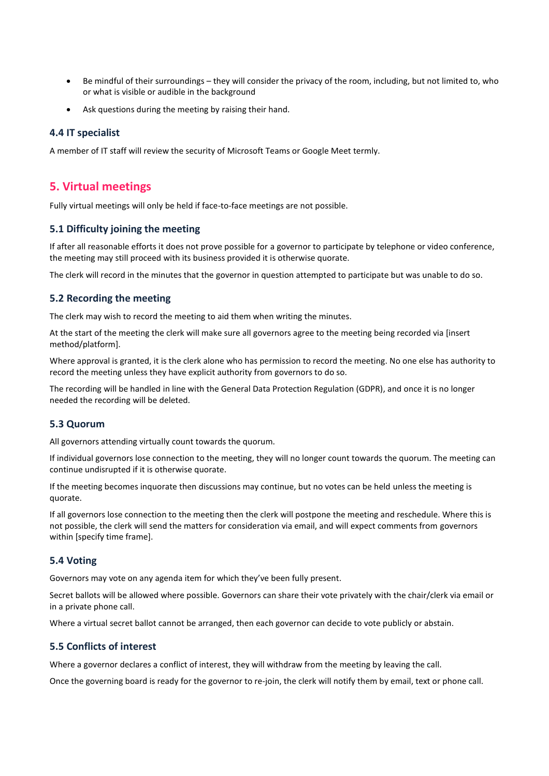- Be mindful of their surroundings they will consider the privacy of the room, including, but not limited to, who or what is visible or audible in the background
- Ask questions during the meeting by raising their hand.

#### **4.4 IT specialist**

A member of IT staff will review the security of Microsoft Teams or Google Meet termly.

## <span id="page-3-0"></span>**5. Virtual meetings**

Fully virtual meetings will only be held if face-to-face meetings are not possible.

#### **5.1 Difficulty joining the meeting**

If after all reasonable efforts it does not prove possible for a governor to participate by telephone or video conference, the meeting may still proceed with its business provided it is otherwise quorate.

The clerk will record in the minutes that the governor in question attempted to participate but was unable to do so.

#### **5.2 Recording the meeting**

The clerk may wish to record the meeting to aid them when writing the minutes.

At the start of the meeting the clerk will make sure all governors agree to the meeting being recorded via [insert method/platform].

Where approval is granted, it is the clerk alone who has permission to record the meeting. No one else has authority to record the meeting unless they have explicit authority from governors to do so.

The recording will be handled in line with the General Data Protection Regulation (GDPR), and once it is no longer needed the recording will be deleted.

#### **5.3 Quorum**

All governors attending virtually count towards the quorum.

If individual governors lose connection to the meeting, they will no longer count towards the quorum. The meeting can continue undisrupted if it is otherwise quorate.

If the meeting becomes inquorate then discussions may continue, but no votes can be held unless the meeting is quorate.

If all governors lose connection to the meeting then the clerk will postpone the meeting and reschedule. Where this is not possible, the clerk will send the matters for consideration via email, and will expect comments from governors within [specify time frame].

#### **5.4 Voting**

Governors may vote on any agenda item for which they've been fully present.

Secret ballots will be allowed where possible. Governors can share their vote privately with the chair/clerk via email or in a private phone call.

Where a virtual secret ballot cannot be arranged, then each governor can decide to vote publicly or abstain.

#### **5.5 Conflicts of interest**

Where a governor declares a conflict of interest, they will withdraw from the meeting by leaving the call.

<span id="page-3-1"></span>Once the governing board is ready for the governor to re-join, the clerk will notify them by email, text or phone call.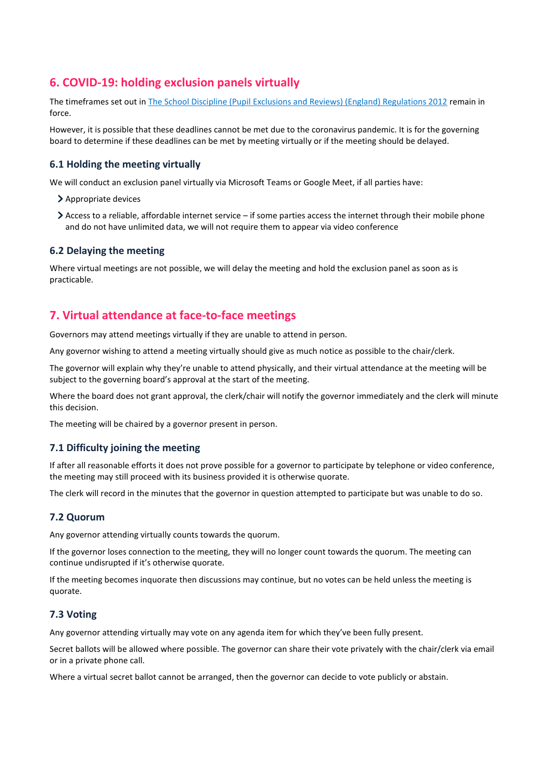# **6. COVID-19: holding exclusion panels virtually**

The timeframes set out in [The School Discipline \(Pupil Exclusions and Reviews\) \(England\) Regulations 2012](http://www.legislation.gov.uk/uksi/2012/1033/contents/made) remain in force.

However, it is possible that these deadlines cannot be met due to the coronavirus pandemic. It is for the governing board to determine if these deadlines can be met by meeting virtually or if the meeting should be delayed.

#### **6.1 Holding the meeting virtually**

We will conduct an exclusion panel virtually via Microsoft Teams or Google Meet, if all parties have:

- > Appropriate devices
- Access to a reliable, affordable internet service if some parties access the internet through their mobile phone and do not have unlimited data, we will not require them to appear via video conference

#### **6.2 Delaying the meeting**

Where virtual meetings are not possible, we will delay the meeting and hold the exclusion panel as soon as is practicable.

## <span id="page-4-0"></span>**7. Virtual attendance at face-to-face meetings**

Governors may attend meetings virtually if they are unable to attend in person.

Any governor wishing to attend a meeting virtually should give as much notice as possible to the chair/clerk.

The governor will explain why they're unable to attend physically, and their virtual attendance at the meeting will be subject to the governing board's approval at the start of the meeting.

Where the board does not grant approval, the clerk/chair will notify the governor immediately and the clerk will minute this decision.

The meeting will be chaired by a governor present in person.

#### **7.1 Difficulty joining the meeting**

If after all reasonable efforts it does not prove possible for a governor to participate by telephone or video conference, the meeting may still proceed with its business provided it is otherwise quorate.

The clerk will record in the minutes that the governor in question attempted to participate but was unable to do so.

#### **7.2 Quorum**

Any governor attending virtually counts towards the quorum.

If the governor loses connection to the meeting, they will no longer count towards the quorum. The meeting can continue undisrupted if it's otherwise quorate.

If the meeting becomes inquorate then discussions may continue, but no votes can be held unless the meeting is quorate.

#### **7.3 Voting**

Any governor attending virtually may vote on any agenda item for which they've been fully present.

Secret ballots will be allowed where possible. The governor can share their vote privately with the chair/clerk via email or in a private phone call.

Where a virtual secret ballot cannot be arranged, then the governor can decide to vote publicly or abstain.